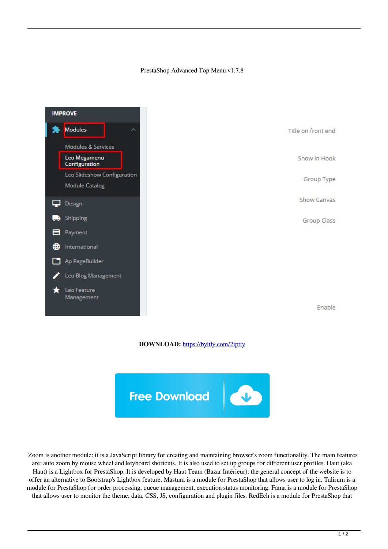## PrestaShop Advanced Top Menu v1.7.8



Title on front end

Show in Hook

Group Type

Show Canvas

Group Class

Enable

**DOWNLOAD:** <https://byltly.com/2iptiy>



 Zoom is another module: it is a JavaScript library for creating and maintaining browser's zoom functionality. The main features are: auto zoom by mouse wheel and keyboard shortcuts. It is also used to set up groups for different user profiles. Haut (aka Haut) is a Lightbox for PrestaShop. It is developed by Haut Team (Bazar Intérieur): the general concept of the website is to offer an alternative to Bootstrap's Lightbox feature. Mastura is a module for PrestaShop that allows user to log in. Talirum is a module for PrestaShop for order processing, queue management, execution status monitoring. Fama is a module for PrestaShop that allows user to monitor the theme, data, CSS, JS, configuration and plugin files. RedEch is a module for PrestaShop that